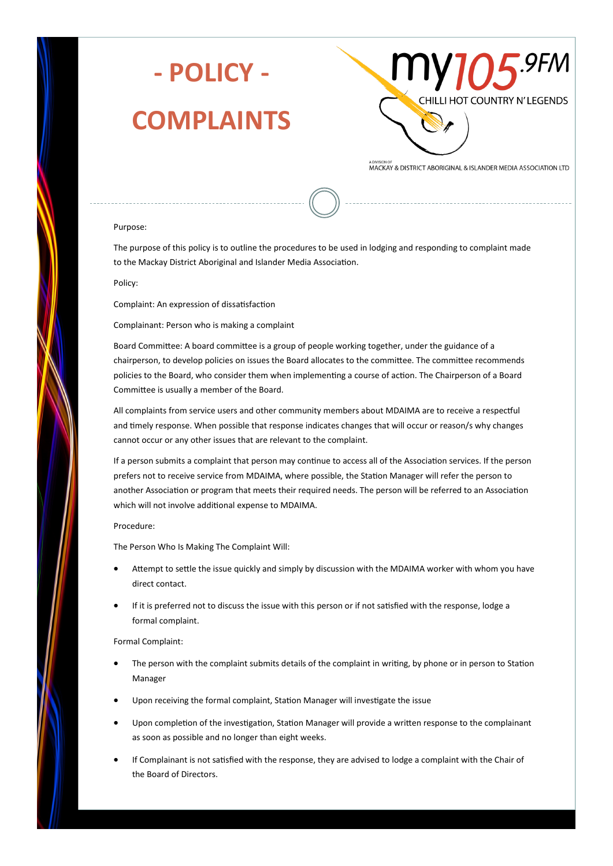

# **- POLICY -**

### **COMPLAINTS**



MACKAY & DISTRICT ABORIGINAL & ISLANDER MEDIA ASSOCIATION LTD

### Purpose:

The purpose of this policy is to outline the procedures to be used in lodging and responding to complaint made to the Mackay District Aboriginal and Islander Media Association.

#### Policy:

Complaint: An expression of dissatisfaction

Complainant: Person who is making a complaint

Board Committee: A board committee is a group of people working together, under the guidance of a chairperson, to develop policies on issues the Board allocates to the committee. The committee recommends policies to the Board, who consider them when implementing a course of action. The Chairperson of a Board Committee is usually a member of the Board.

All complaints from service users and other community members about MDAIMA are to receive a respectful and timely response. When possible that response indicates changes that will occur or reason/s why changes cannot occur or any other issues that are relevant to the complaint.

If a person submits a complaint that person may continue to access all of the Association services. If the person prefers not to receive service from MDAIMA, where possible, the Station Manager will refer the person to another Association or program that meets their required needs. The person will be referred to an Association which will not involve additional expense to MDAIMA.

#### Procedure:

The Person Who Is Making The Complaint Will:

- Attempt to settle the issue quickly and simply by discussion with the MDAIMA worker with whom you have direct contact.
- If it is preferred not to discuss the issue with this person or if not satisfied with the response, lodge a formal complaint.

Formal Complaint:

- The person with the complaint submits details of the complaint in writing, by phone or in person to Station Manager
- Upon receiving the formal complaint, Station Manager will investigate the issue
- Upon completion of the investigation, Station Manager will provide a written response to the complainant as soon as possible and no longer than eight weeks.
- If Complainant is not satisfied with the response, they are advised to lodge a complaint with the Chair of the Board of Directors.